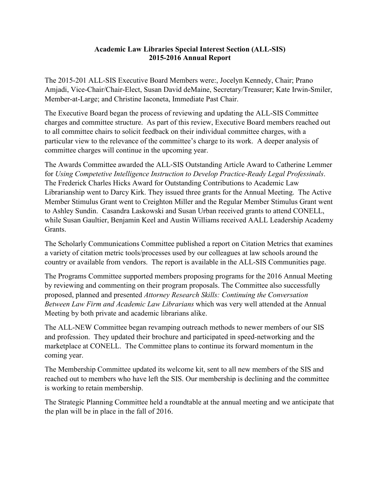## **Academic Law Libraries Special Interest Section (ALL-SIS) 2015-2016 Annual Report**

The 2015-201 ALL-SIS Executive Board Members were:, Jocelyn Kennedy, Chair; Prano Amjadi, Vice-Chair/Chair-Elect, Susan David deMaine, Secretary/Treasurer; Kate Irwin-Smiler, Member-at-Large; and Christine Iaconeta, Immediate Past Chair.

The Executive Board began the process of reviewing and updating the ALL-SIS Committee charges and committee structure. As part of this review, Executive Board members reached out to all committee chairs to solicit feedback on their individual committee charges, with a particular view to the relevance of the committee's charge to its work. A deeper analysis of committee charges will continue in the upcoming year.

The Awards Committee awarded the ALL‐SIS Outstanding Article Award to Catherine Lemmer for *Using Competetive Intelligence Instruction to Develop Practice-Ready Legal Professinals*. The Frederick Charles Hicks Award for Outstanding Contributions to Academic Law Librarianship went to Darcy Kirk. They issued three grants for the Annual Meeting. The Active Member Stimulus Grant went to Creighton Miller and the Regular Member Stimulus Grant went to Ashley Sundin. Casandra Laskowski and Susan Urban received grants to attend CONELL, while Susan Gaultier, Benjamin Keel and Austin Williams received AALL Leadership Academy Grants.

The Scholarly Communications Committee published a report on Citation Metrics that examines a variety of citation metric tools/processes used by our colleagues at law schools around the country or available from vendors. The report is available in the ALL-SIS Communities page.

The Programs Committee supported members proposing programs for the 2016 Annual Meeting by reviewing and commenting on their program proposals. The Committee also successfully proposed, planned and presented *Attorney Research Skills: Continuing the Conversation Between Law Firm and Academic Law Librarians* which was very well attended at the Annual Meeting by both private and academic librarians alike.

The ALL-NEW Committee began revamping outreach methods to newer members of our SIS and profession. They updated their brochure and participated in speed-networking and the marketplace at CONELL. The Committee plans to continue its forward momentum in the coming year.

The Membership Committee updated its welcome kit, sent to all new members of the SIS and reached out to members who have left the SIS. Our membership is declining and the committee is working to retain membership.

The Strategic Planning Committee held a roundtable at the annual meeting and we anticipate that the plan will be in place in the fall of 2016.